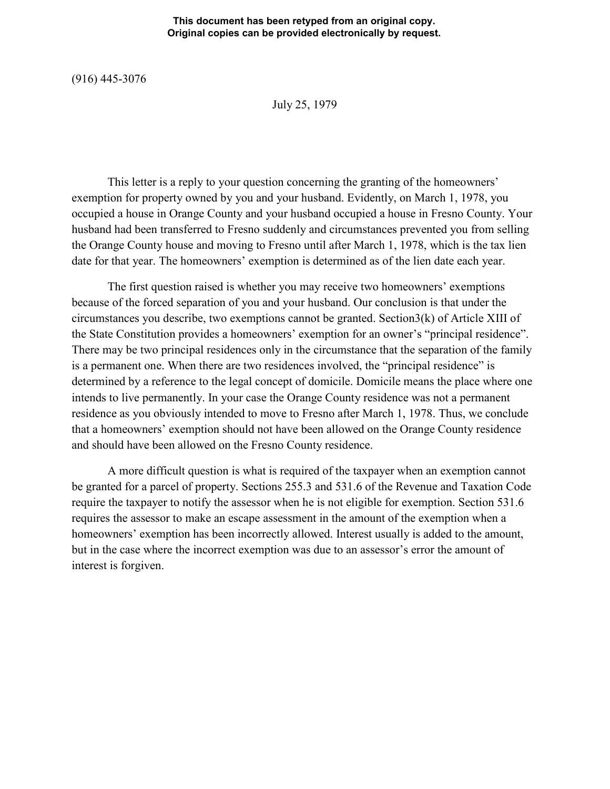## **This document has been retyped from an original copy. Original copies can be provided electronically by request.**

(916) 445-3076

July 25, 1979

This letter is a reply to your question concerning the granting of the homeowners' exemption for property owned by you and your husband. Evidently, on March 1, 1978, you occupied a house in Orange County and your husband occupied a house in Fresno County. Your husband had been transferred to Fresno suddenly and circumstances prevented you from selling the Orange County house and moving to Fresno until after March 1, 1978, which is the tax lien date for that year. The homeowners' exemption is determined as of the lien date each year.

The first question raised is whether you may receive two homeowners' exemptions because of the forced separation of you and your husband. Our conclusion is that under the circumstances you describe, two exemptions cannot be granted. Section3(k) of Article XIII of the State Constitution provides a homeowners' exemption for an owner's "principal residence". There may be two principal residences only in the circumstance that the separation of the family is a permanent one. When there are two residences involved, the "principal residence" is determined by a reference to the legal concept of domicile. Domicile means the place where one intends to live permanently. In your case the Orange County residence was not a permanent residence as you obviously intended to move to Fresno after March 1, 1978. Thus, we conclude that a homeowners' exemption should not have been allowed on the Orange County residence and should have been allowed on the Fresno County residence.

A more difficult question is what is required of the taxpayer when an exemption cannot be granted for a parcel of property. Sections 255.3 and 531.6 of the Revenue and Taxation Code require the taxpayer to notify the assessor when he is not eligible for exemption. Section 531.6 requires the assessor to make an escape assessment in the amount of the exemption when a homeowners' exemption has been incorrectly allowed. Interest usually is added to the amount, but in the case where the incorrect exemption was due to an assessor's error the amount of interest is forgiven.